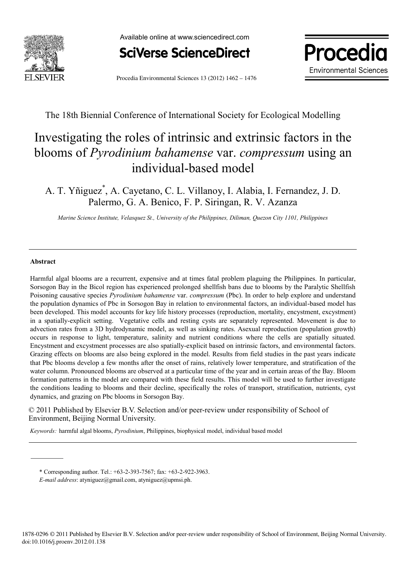



**Environmental Sciences 13 (2012) 1462 – 1476**<br> **Sciences** 13 (2012) 1462 – 1476



## The 18th Biennial Conference of International Society for Ecological Modelling

# Investigating the roles of intrinsic and extrinsic factors in the blooms of *Pyrodinium bahamense* var. *compressum* using an individual-based model

A. T. Yñiguez\* , A. Cayetano, C. L. Villanoy, I. Alabia, I. Fernandez, J. D. Palermo, G. A. Benico, F. P. Siringan, R. V. Azanza

*Marine Science Institute, Velasquez St., University of the Philippines, Diliman, Quezon City 1101, Philippines*

## **Abstract**

Harmful algal blooms are a recurrent, expensive and at times fatal problem plaguing the Philippines. In particular, Sorsogon Bay in the Bicol region has experienced prolonged shellfish bans due to blooms by the Paralytic Shellfish Poisoning causative species *Pyrodinium bahamense* var. *compressum* (Pbc). In order to help explore and understand the population dynamics of Pbc in Sorsogon Bay in relation to environmental factors, an individual-based model has been developed. This model accounts for key life history processes (reproduction, mortality, encystment, excystment) in a spatially-explicit setting. Vegetative cells and resting cysts are separately represented. Movement is due to advection rates from a 3D hydrodynamic model, as well as sinking rates. Asexual reproduction (population growth) occurs in response to light, temperature, salinity and nutrient conditions where the cells are spatially situated. Encystment and excystment processes are also spatially-explicit based on intrinsic factors, and environmental factors. Grazing effects on blooms are also being explored in the model. Results from field studies in the past years indicate that Pbc blooms develop a few months after the onset of rains, relatively lower temperature, and stratification of the water column. Pronounced blooms are observed at a particular time of the year and in certain areas of the Bay. Bloom formation patterns in the model are compared with these field results. This model will be used to further investigate the conditions leading to blooms and their decline, specifically the roles of transport, stratification, nutrients, cyst dynamics, and grazing on Pbc blooms in Sorsogon Bay.

© 2011 Published by Elsevier Ltd. Environment, Beijing Normal University.© 2011 Published by Elsevier B.V. Selection and/or peer-review under responsibility of School of

*Keywords:* harmful algal blooms, *Pyrodinium*, Philippines, biophysical model, individual based model

<sup>\*</sup> Corresponding author. Tel.: +63-2-393-7567; fax: +63-2-922-3963.

*E-mail address*: atyniguez@gmail.com, atyniguez@upmsi.ph.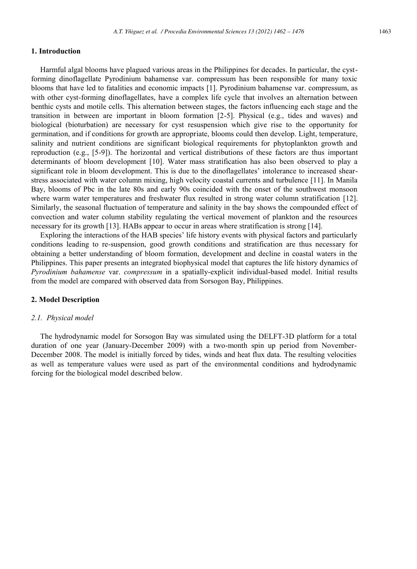## **1. Introduction**

Harmful algal blooms have plagued various areas in the Philippines for decades. In particular, the cystforming dinoflagellate Pyrodinium bahamense var. compressum has been responsible for many toxic blooms that have led to fatalities and economic impacts [1]. Pyrodinium bahamense var. compressum, as with other cyst-forming dinoflagellates, have a complex life cycle that involves an alternation between benthic cysts and motile cells. This alternation between stages, the factors influencing each stage and the transition in between are important in bloom formation [2-5]. Physical (e.g., tides and waves) and biological (bioturbation) are necessary for cyst resuspension which give rise to the opportunity for germination, and if conditions for growth are appropriate, blooms could then develop. Light, temperature, salinity and nutrient conditions are significant biological requirements for phytoplankton growth and reproduction (e.g., [5-9]). The horizontal and vertical distributions of these factors are thus important determinants of bloom development [10]. Water mass stratification has also been observed to play a significant role in bloom development. This is due to the dinoflagellates' intolerance to increased shearstress associated with water column mixing, high velocity coastal currents and turbulence [11]. In Manila Bay, blooms of Pbc in the late 80s and early 90s coincided with the onset of the southwest monsoon where warm water temperatures and freshwater flux resulted in strong water column stratification [12]. Similarly, the seasonal fluctuation of temperature and salinity in the bay shows the compounded effect of convection and water column stability regulating the vertical movement of plankton and the resources necessary for its growth [13]. HABs appear to occur in areas where stratification is strong [14].

Exploring the interactions of the HAB species' life history events with physical factors and particularly conditions leading to re-suspension, good growth conditions and stratification are thus necessary for obtaining a better understanding of bloom formation, development and decline in coastal waters in the Philippines. This paper presents an integrated biophysical model that captures the life history dynamics of *Pyrodinium bahamense* var. *compressum* in a spatially-explicit individual-based model. Initial results from the model are compared with observed data from Sorsogon Bay, Philippines.

## **2. Model Description**

#### *2.1. Physical model*

The hydrodynamic model for Sorsogon Bay was simulated using the DELFT-3D platform for a total duration of one year (January-December 2009) with a two-month spin up period from November-December 2008. The model is initially forced by tides, winds and heat flux data. The resulting velocities as well as temperature values were used as part of the environmental conditions and hydrodynamic forcing for the biological model described below.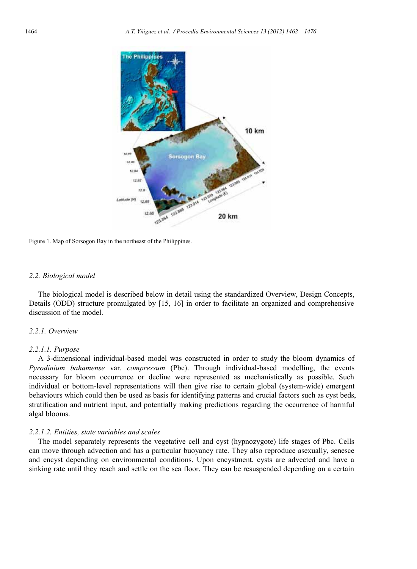

Figure 1. Map of Sorsogon Bay in the northeast of the Philippines.

## *2.2. Biological model*

The biological model is described below in detail using the standardized Overview, Design Concepts, Details (ODD) structure promulgated by [15, 16] in order to facilitate an organized and comprehensive discussion of the model.

## *2.2.1. Overview*

#### *2.2.1.1. Purpose*

A 3-dimensional individual-based model was constructed in order to study the bloom dynamics of *Pyrodinium bahamense* var. *compressum* (Pbc). Through individual-based modelling, the events necessary for bloom occurrence or decline were represented as mechanistically as possible. Such individual or bottom-level representations will then give rise to certain global (system-wide) emergent behaviours which could then be used as basis for identifying patterns and crucial factors such as cyst beds, stratification and nutrient input, and potentially making predictions regarding the occurrence of harmful algal blooms.

## *2.2.1.2. Entities, state variables and scales*

The model separately represents the vegetative cell and cyst (hypnozygote) life stages of Pbc. Cells can move through advection and has a particular buoyancy rate. They also reproduce asexually, senesce and encyst depending on environmental conditions. Upon encystment, cysts are advected and have a sinking rate until they reach and settle on the sea floor. They can be resuspended depending on a certain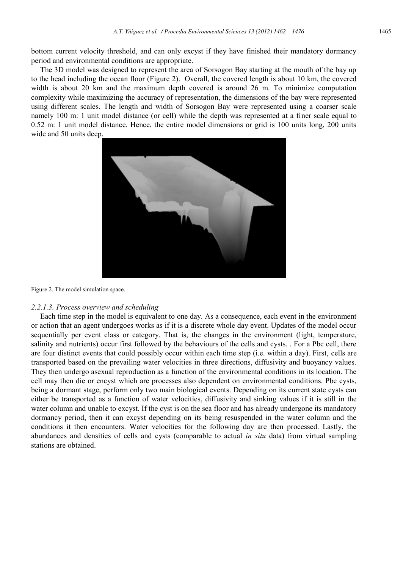bottom current velocity threshold, and can only excyst if they have finished their mandatory dormancy period and environmental conditions are appropriate.

The 3D model was designed to represent the area of Sorsogon Bay starting at the mouth of the bay up to the head including the ocean floor (Figure 2). Overall, the covered length is about 10 km, the covered width is about 20 km and the maximum depth covered is around 26 m. To minimize computation complexity while maximizing the accuracy of representation, the dimensions of the bay were represented using different scales. The length and width of Sorsogon Bay were represented using a coarser scale namely 100 m: 1 unit model distance (or cell) while the depth was represented at a finer scale equal to 0.52 m: 1 unit model distance. Hence, the entire model dimensions or grid is 100 units long, 200 units wide and 50 units deep.



Figure 2. The model simulation space.

## *2.2.1.3. Process overview and scheduling*

Each time step in the model is equivalent to one day. As a consequence, each event in the environment or action that an agent undergoes works as if it is a discrete whole day event. Updates of the model occur sequentially per event class or category. That is, the changes in the environment (light, temperature, salinity and nutrients) occur first followed by the behaviours of the cells and cysts. . For a Pbc cell, there are four distinct events that could possibly occur within each time step (i.e. within a day). First, cells are transported based on the prevailing water velocities in three directions, diffusivity and buoyancy values. They then undergo asexual reproduction as a function of the environmental conditions in its location. The cell may then die or encyst which are processes also dependent on environmental conditions. Pbc cysts, being a dormant stage, perform only two main biological events. Depending on its current state cysts can either be transported as a function of water velocities, diffusivity and sinking values if it is still in the water column and unable to excyst. If the cyst is on the sea floor and has already undergone its mandatory dormancy period, then it can excyst depending on its being resuspended in the water column and the conditions it then encounters. Water velocities for the following day are then processed. Lastly, the abundances and densities of cells and cysts (comparable to actual *in situ* data) from virtual sampling stations are obtained.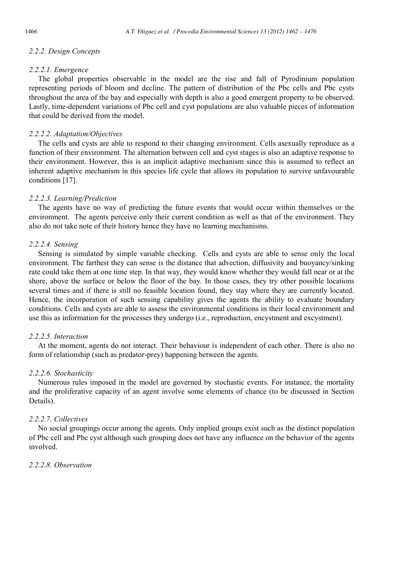#### *2.2.2. Design Concepts*

## *2.2.2.1. Emergence*

The global properties observable in the model are the rise and fall of Pyrodinium population representing periods of bloom and decline. The pattern of distribution of the Pbc cells and Pbc cysts throughout the area of the bay and especially with depth is also a good emergent property to be observed. Lastly, time-dependent variations of Pbc cell and cyst populations are also valuable pieces of information that could be derived from the model.

## *2.2.2.2. Adaptation/Objectives*

The cells and cysts are able to respond to their changing environment. Cells asexually reproduce as a function of their environment. The alternation between cell and cyst stages is also an adaptive response to their environment. However, this is an implicit adaptive mechanism since this is assumed to reflect an inherent adaptive mechanism in this species life cycle that allows its population to survive unfavourable conditions [17].

#### *2.2.2.3. Learning/Prediction*

The agents have no way of predicting the future events that would occur within themselves or the environment. The agents perceive only their current condition as well as that of the environment. They also do not take note of their history hence they have no learning mechanisms.

#### *2.2.2.4. Sensing*

Sensing is simulated by simple variable checking. Cells and cysts are able to sense only the local environment. The farthest they can sense is the distance that advection, diffusivity and buoyancy/sinking rate could take them at one time step. In that way, they would know whether they would fall near or at the shore, above the surface or below the floor of the bay. In those cases, they try other possible locations several times and if there is still no feasible location found, they stay where they are currently located. Hence, the incorporation of such sensing capability gives the agents the ability to evaluate boundary conditions. Cells and cysts are able to assess the environmental conditions in their local environment and use this as information for the processes they undergo (i.e., reproduction, encystment and excystment).

## *2.2.2.5. Interaction*

At the moment, agents do not interact. Their behaviour is independent of each other. There is also no form of relationship (such as predator-prey) happening between the agents.

## *2.2.2.6. Stochasticity*

Numerous rules imposed in the model are governed by stochastic events. For instance, the mortality and the proliferative capacity of an agent involve some elements of chance (to be discussed in Section Details).

#### *2.2.2.7. Collectives*

No social groupings occur among the agents. Only implied groups exist such as the distinct population of Pbc cell and Pbc cyst although such grouping does not have any influence on the behavior of the agents involved.

## *2.2.2.8. Observation*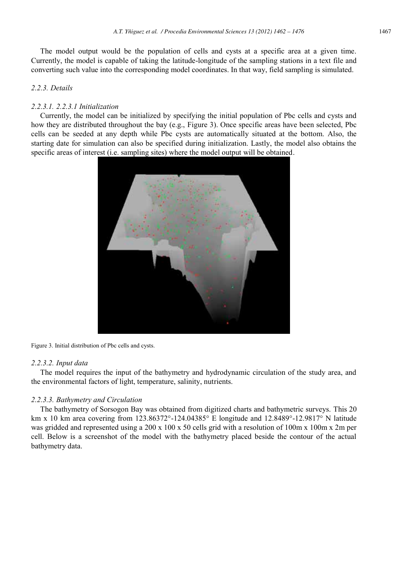The model output would be the population of cells and cysts at a specific area at a given time. Currently, the model is capable of taking the latitude-longitude of the sampling stations in a text file and converting such value into the corresponding model coordinates. In that way, field sampling is simulated.

## *2.2.3. Details*

## *2.2.3.1. 2.2.3.1 Initialization*

Currently, the model can be initialized by specifying the initial population of Pbc cells and cysts and how they are distributed throughout the bay (e.g., Figure 3). Once specific areas have been selected, Pbc cells can be seeded at any depth while Pbc cysts are automatically situated at the bottom. Also, the starting date for simulation can also be specified during initialization. Lastly, the model also obtains the specific areas of interest (i.e. sampling sites) where the model output will be obtained.



Figure 3. Initial distribution of Pbc cells and cysts.

## *2.2.3.2. Input data*

The model requires the input of the bathymetry and hydrodynamic circulation of the study area, and the environmental factors of light, temperature, salinity, nutrients.

## *2.2.3.3. Bathymetry and Circulation*

The bathymetry of Sorsogon Bay was obtained from digitized charts and bathymetric surveys. This 20 km x 10 km area covering from 123.86372°-124.04385° E longitude and 12.8489°-12.9817° N latitude was gridded and represented using a 200 x 100 x 50 cells grid with a resolution of 100m x 100m x 2m per cell. Below is a screenshot of the model with the bathymetry placed beside the contour of the actual bathymetry data.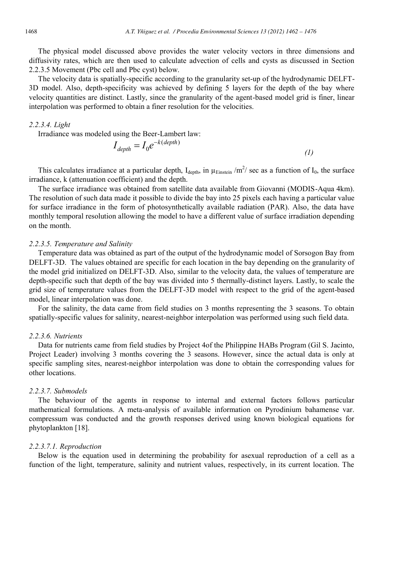The physical model discussed above provides the water velocity vectors in three dimensions and diffusivity rates, which are then used to calculate advection of cells and cysts as discussed in Section 2.2.3.5 Movement (Pbc cell and Pbc cyst) below.

The velocity data is spatially-specific according to the granularity set-up of the hydrodynamic DELFT-3D model. Also, depth-specificity was achieved by defining 5 layers for the depth of the bay where velocity quantities are distinct. Lastly, since the granularity of the agent-based model grid is finer, linear interpolation was performed to obtain a finer resolution for the velocities.

#### *2.2.3.4. Light*

Irradiance was modeled using the Beer-Lambert law:

$$
I_{depth} = I_0 e^{-k(depth)} \tag{1}
$$

This calculates irradiance at a particular depth,  $I_{\text{depth}}$ , in  $\mu_{\text{Einstein}}/m^2$  sec as a function of  $I_0$ , the surface irradiance, k (attenuation coefficient) and the depth.

The surface irradiance was obtained from satellite data available from Giovanni (MODIS-Aqua 4km). The resolution of such data made it possible to divide the bay into 25 pixels each having a particular value for surface irradiance in the form of photosynthetically available radiation (PAR). Also, the data have monthly temporal resolution allowing the model to have a different value of surface irradiation depending on the month.

#### *2.2.3.5. Temperature and Salinity*

Temperature data was obtained as part of the output of the hydrodynamic model of Sorsogon Bay from DELFT-3D. The values obtained are specific for each location in the bay depending on the granularity of the model grid initialized on DELFT-3D. Also, similar to the velocity data, the values of temperature are depth-specific such that depth of the bay was divided into 5 thermally-distinct layers. Lastly, to scale the grid size of temperature values from the DELFT-3D model with respect to the grid of the agent-based model, linear interpolation was done.

For the salinity, the data came from field studies on 3 months representing the 3 seasons. To obtain spatially-specific values for salinity, nearest-neighbor interpolation was performed using such field data.

## *2.2.3.6. Nutrients*

Data for nutrients came from field studies by Project 4of the Philippine HABs Program (Gil S. Jacinto, Project Leader) involving 3 months covering the 3 seasons. However, since the actual data is only at specific sampling sites, nearest-neighbor interpolation was done to obtain the corresponding values for other locations.

#### *2.2.3.7. Submodels*

The behaviour of the agents in response to internal and external factors follows particular mathematical formulations. A meta-analysis of available information on Pyrodinium bahamense var. compressum was conducted and the growth responses derived using known biological equations for phytoplankton [18].

## *2.2.3.7.1. Reproduction*

Below is the equation used in determining the probability for asexual reproduction of a cell as a function of the light, temperature, salinity and nutrient values, respectively, in its current location. The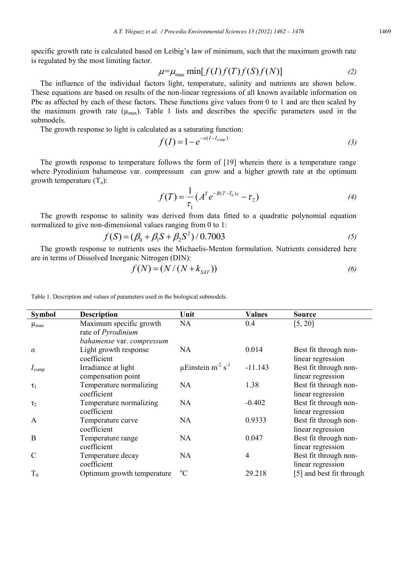specific growth rate is calculated based on Leibig's law of minimum, such that the maximum growth rate is regulated by the most limiting factor.

$$
\mu = \mu_{\text{max}} \min[f(I)f(T)f(S)f(N)] \tag{2}
$$

The influence of the individual factors light, temperature, salinity and nutrients are shown below. These equations are based on results of the non-linear regressions of all known available information on Pbc as affected by each of these factors. These functions give values from 0 to 1 and are then scaled by the maximum growth rate  $(\mu_{\text{max}})$ . Table 1 lists and describes the specific parameters used in the submodels.

The growth response to light is calculated as a saturating function:

$$
f(I) = 1 - e^{-a(I - I_{comp})}
$$
\n<sup>(3)</sup>

The growth response to temperature follows the form of [19] wherein there is a temperature range where Pyrodinium bahamense var. compressum can grow and a higher growth rate at the optimum growth temperature  $(T_0)$ :

$$
f(T) = \frac{1}{\tau_1} (A^T e^{-B(T - T_0)c} - \tau_2)
$$
\n(4)

The growth response to salinity was derived from data fitted to a quadratic polynomial equation normalized to give non-dimensional values ranging from 0 to 1:

$$
f(S) = (\beta_0 + \beta_1 S + \beta_2 S^2) / 0.7003
$$
\n<sup>(5)</sup>

The growth response to nutrients uses the Michaelis-Menton formulation. Nutrients considered here are in terms of Dissolved Inorganic Nitrogen (DIN):

$$
f(N) = (N/(N + k_{SAT}))
$$
\n(6)

Table 1. Description and values of parameters used in the biological submodels.

| <b>Symbol</b>      | <b>Description</b>                                                         | Unit                                           | <b>Values</b>  | <b>Source</b>                              |
|--------------------|----------------------------------------------------------------------------|------------------------------------------------|----------------|--------------------------------------------|
| $\mu_{\text{max}}$ | Maximum specific growth<br>rate of Pyrodinium<br>bahamense var. compressum | NA                                             | 0.4            | [5, 20]                                    |
| $\alpha$           | Light growth response<br>coefficient                                       | NA.                                            | 0.014          | Best fit through non-<br>linear regression |
| $I_{\text{comp}}$  | Irradiance at light<br>compensation point                                  | $\mu$ Einstein m <sup>-2</sup> s <sup>-1</sup> | $-11.143$      | Best fit through non-<br>linear regression |
| $\tau_1$           | Temperature normalizing<br>coefficient                                     | NA                                             | 1.38           | Best fit through non-<br>linear regression |
| $\tau$             | Temperature normalizing<br>coefficient                                     | NA                                             | $-0.402$       | Best fit through non-<br>linear regression |
| A                  | Temperature curve<br>coefficient                                           | NA                                             | 0.9333         | Best fit through non-<br>linear regression |
| B                  | Temperature range<br>coefficient                                           | NA.                                            | 0.047          | Best fit through non-<br>linear regression |
| C                  | Temperature decay<br>coefficient                                           | NA                                             | $\overline{4}$ | Best fit through non-<br>linear regression |
| $T_0$              | Optimum growth temperature                                                 | $\rm ^{o}C$                                    | 29.218         | [5] and best fit through                   |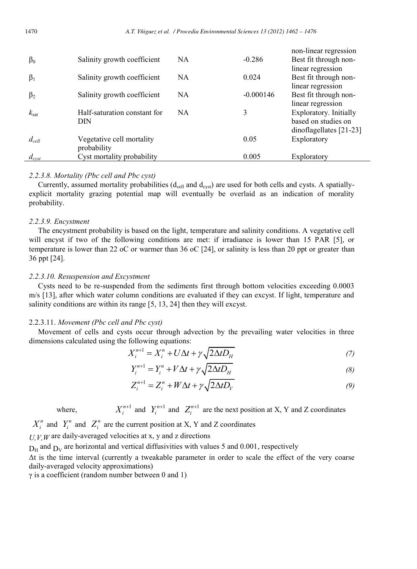|               |                              |           |             | non-linear regression     |
|---------------|------------------------------|-----------|-------------|---------------------------|
| $\beta_0$     | Salinity growth coefficient  | NA        | $-0.286$    | Best fit through non-     |
|               |                              |           |             | linear regression         |
| $\beta_1$     | Salinity growth coefficient  | <b>NA</b> | 0.024       | Best fit through non-     |
|               |                              |           |             | linear regression         |
| $\beta_2$     | Salinity growth coefficient  | NA        | $-0.000146$ | Best fit through non-     |
|               |                              |           |             | linear regression         |
| $k_{\rm sat}$ | Half-saturation constant for | <b>NA</b> | 3           | Exploratory. Initially    |
|               | <b>DIN</b>                   |           |             | based on studies on       |
|               |                              |           |             | dinoflagellates $[21-23]$ |
| $d_{cell}$    | Vegetative cell mortality    |           | 0.05        | Exploratory               |
|               | probability                  |           |             |                           |
| $d_{c v s t}$ | Cyst mortality probability   |           | 0.005       | Exploratory               |

## *2.2.3.8. Mortality (Pbc cell and Pbc cyst)*

Currently, assumed mortality probabilities ( $d_{cell}$  and  $d_{cyst}$ ) are used for both cells and cysts. A spatiallyexplicit mortality grazing potential map will eventually be overlaid as an indication of morality probability.

#### *2.2.3.9. Encystment*

The encystment probability is based on the light, temperature and salinity conditions. A vegetative cell will encyst if two of the following conditions are met: if irradiance is lower than 15 PAR [5], or temperature is lower than 22 oC or warmer than 36 oC [24], or salinity is less than 20 ppt or greater than 36 ppt [24].

#### *2.2.3.10. Resuspension and Excystment*

Cysts need to be re-suspended from the sediments first through bottom velocities exceeding 0.0003 m/s [13], after which water column conditions are evaluated if they can excyst. If light, temperature and salinity conditions are within its range [5, 13, 24] then they will excyst.

## 2.2.3.11. *Movement (Pbc cell and Pbc cyst)*

Movement of cells and cysts occur through advection by the prevailing water velocities in three dimensions calculated using the following equations:

$$
X_i^{n+1} = X_i^n + U\Delta t + \gamma \sqrt{2\Delta t D_H}
$$
\n<sup>(7)</sup>

$$
Y_i^{n+1} = Y_i^n + V\Delta t + \gamma \sqrt{2\Delta t D_H}
$$
\n<sup>(8)</sup>

$$
Z_i^{n+1} = Z_i^n + W\Delta t + \gamma \sqrt{2\Delta t D_V}
$$
\n(9)

where,  $X_i^{n+1}$  and  $Y_i^{n+1}$  and  $Z_i^{n+1}$  are the next position at X, Y and Z coordinates

 $X_i^n$  and  $Y_i^n$  and  $Z_i^n$  are the current position at X, Y and Z coordinates

 $U, V, W$  are daily-averaged velocities at x, y and z directions

 $D_H$  and  $D_V$  are horizontal and vertical diffusivities with values 5 and 0.001, respectively

Δt is the time interval (currently a tweakable parameter in order to scale the effect of the very coarse daily-averaged velocity approximations)

 $\gamma$  is a coefficient (random number between 0 and 1)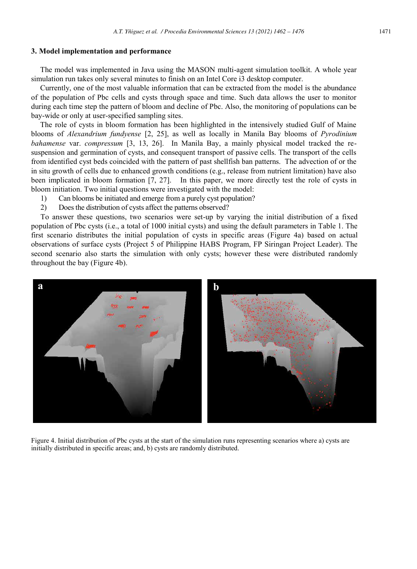#### **3. Model implementation and performance**

The model was implemented in Java using the MASON multi-agent simulation toolkit. A whole year simulation run takes only several minutes to finish on an Intel Core i3 desktop computer.

Currently, one of the most valuable information that can be extracted from the model is the abundance of the population of Pbc cells and cysts through space and time. Such data allows the user to monitor during each time step the pattern of bloom and decline of Pbc. Also, the monitoring of populations can be bay-wide or only at user-specified sampling sites.

The role of cysts in bloom formation has been highlighted in the intensively studied Gulf of Maine blooms of *Alexandrium fundyense* [2, 25], as well as locally in Manila Bay blooms of *Pyrodinium bahamense* var. *compressum* [3, 13, 26]. In Manila Bay, a mainly physical model tracked the resuspension and germination of cysts, and consequent transport of passive cells. The transport of the cells from identified cyst beds coincided with the pattern of past shellfish ban patterns. The advection of or the in situ growth of cells due to enhanced growth conditions (e.g., release from nutrient limitation) have also been implicated in bloom formation [7, 27]. In this paper, we more directly test the role of cysts in bloom initiation. Two initial questions were investigated with the model:

- 1) Can blooms be initiated and emerge from a purely cyst population?
- 2) Does the distribution of cysts affect the patterns observed?

To answer these questions, two scenarios were set-up by varying the initial distribution of a fixed population of Pbc cysts (i.e., a total of 1000 initial cysts) and using the default parameters in Table 1. The first scenario distributes the initial population of cysts in specific areas (Figure 4a) based on actual observations of surface cysts (Project 5 of Philippine HABS Program, FP Siringan Project Leader). The second scenario also starts the simulation with only cysts; however these were distributed randomly throughout the bay (Figure 4b).



Figure 4. Initial distribution of Pbc cysts at the start of the simulation runs representing scenarios where a) cysts are initially distributed in specific areas; and, b) cysts are randomly distributed.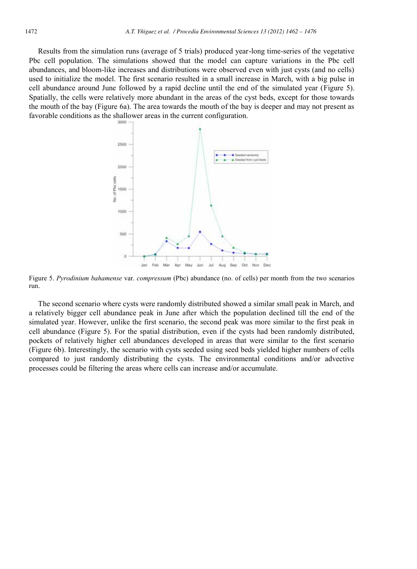Results from the simulation runs (average of 5 trials) produced year-long time-series of the vegetative Pbc cell population. The simulations showed that the model can capture variations in the Pbc cell abundances, and bloom-like increases and distributions were observed even with just cysts (and no cells) used to initialize the model. The first scenario resulted in a small increase in March, with a big pulse in cell abundance around June followed by a rapid decline until the end of the simulated year (Figure 5). Spatially, the cells were relatively more abundant in the areas of the cyst beds, except for those towards the mouth of the bay (Figure 6a). The area towards the mouth of the bay is deeper and may not present as favorable conditions as the shallower areas in the current configuration.



Figure 5. *Pyrodinium bahamense* var. *compressum* (Pbc) abundance (no. of cells) per month from the two scenarios run.

The second scenario where cysts were randomly distributed showed a similar small peak in March, and a relatively bigger cell abundance peak in June after which the population declined till the end of the simulated year. However, unlike the first scenario, the second peak was more similar to the first peak in cell abundance (Figure 5). For the spatial distribution, even if the cysts had been randomly distributed, pockets of relatively higher cell abundances developed in areas that were similar to the first scenario (Figure 6b). Interestingly, the scenario with cysts seeded using seed beds yielded higher numbers of cells compared to just randomly distributing the cysts. The environmental conditions and/or advective processes could be filtering the areas where cells can increase and/or accumulate.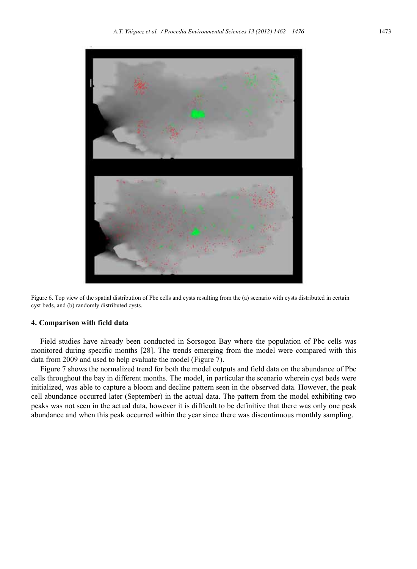

Figure 6. Top view of the spatial distribution of Pbc cells and cysts resulting from the (a) scenario with cysts distributed in certain cyst beds, and (b) randomly distributed cysts.

#### **4. Comparison with field data**

Field studies have already been conducted in Sorsogon Bay where the population of Pbc cells was monitored during specific months [28]. The trends emerging from the model were compared with this data from 2009 and used to help evaluate the model (Figure 7).

Figure 7 shows the normalized trend for both the model outputs and field data on the abundance of Pbc cells throughout the bay in different months. The model, in particular the scenario wherein cyst beds were initialized, was able to capture a bloom and decline pattern seen in the observed data. However, the peak cell abundance occurred later (September) in the actual data. The pattern from the model exhibiting two peaks was not seen in the actual data, however it is difficult to be definitive that there was only one peak abundance and when this peak occurred within the year since there was discontinuous monthly sampling.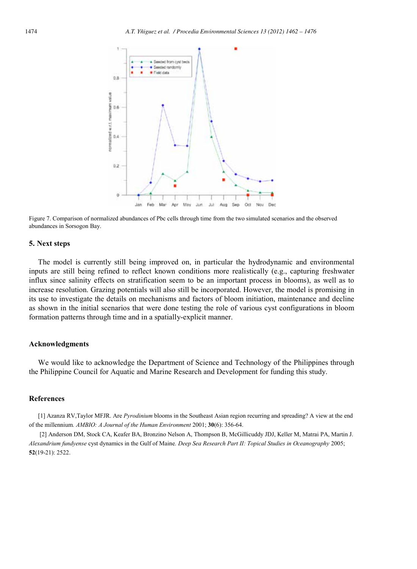

Figure 7. Comparison of normalized abundances of Pbc cells through time from the two simulated scenarios and the observed abundances in Sorsogon Bay.

#### **5. Next steps**

The model is currently still being improved on, in particular the hydrodynamic and environmental inputs are still being refined to reflect known conditions more realistically (e.g., capturing freshwater influx since salinity effects on stratification seem to be an important process in blooms), as well as to increase resolution. Grazing potentials will also still be incorporated. However, the model is promising in its use to investigate the details on mechanisms and factors of bloom initiation, maintenance and decline as shown in the initial scenarios that were done testing the role of various cyst configurations in bloom formation patterns through time and in a spatially-explicit manner.

#### **Acknowledgments**

We would like to acknowledge the Department of Science and Technology of the Philippines through the Philippine Council for Aquatic and Marine Research and Development for funding this study.

## **References**

[1] Azanza RV,Taylor MFJR. Are *Pyrodinium* blooms in the Southeast Asian region recurring and spreading? A view at the end of the millennium*. AMBIO: A Journal of the Human Environment* 2001; **30**(6): 356-64.

[2] Anderson DM, Stock CA, Keafer BA, Bronzino Nelson A, Thompson B, McGillicuddy JDJ, Keller M, Matrai PA, Martin J. *Alexandrium fundyense* cyst dynamics in the Gulf of Maine*. Deep Sea Research Part II: Topical Studies in Oceanography* 2005; **52**(19-21): 2522.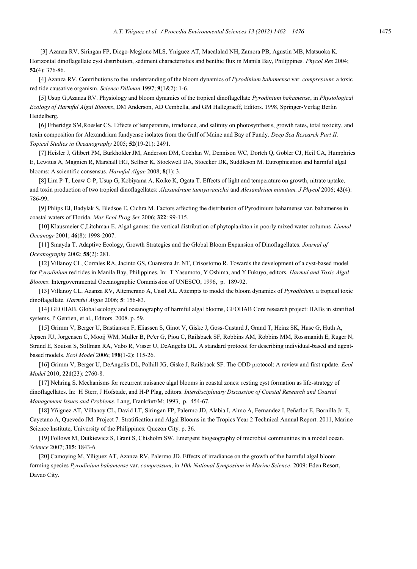[3] Azanza RV, Siringan FP, Diego-Mcglone MLS, Yniguez AT, Macalalad NH, Zamora PB, Agustin MB, Matsuoka K. Horizontal dinoflagellate cyst distribution, sediment characteristics and benthic flux in Manila Bay, Philippines*. Phycol Res* 2004; **52**(4): 376-86.

[4] Azanza RV. Contributions to the understanding of the bloom dynamics of *Pyrodinium bahamense* var. *compressum*: a toxic red tide causative organism*. Science Diliman* 1997; **9**(1&2): 1-6.

[5] Usup G,Azanza RV. Physiology and bloom dynamics of the tropical dinoflagellate *Pyrodinium bahamense*, in *Physiological Ecology of Harmful Algal Blooms*, DM Anderson, AD Cembella, and GM Hallegraeff, Editors. 1998, Springer-Verlag Berlin Heidelberg.

[6] Etheridge SM,Roesler CS. Effects of temperature, irradiance, and salinity on photosynthesis, growth rates, total toxicity, and toxin composition for Alexandrium fundyense isolates from the Gulf of Maine and Bay of Fundy*. Deep Sea Research Part II: Topical Studies in Oceanography* 2005; **52**(19-21): 2491.

[7] Heisler J, Glibert PM, Burkholder JM, Anderson DM, Cochlan W, Dennison WC, Dortch Q, Gobler CJ, Heil CA, Humphries E, Lewitus A, Magnien R, Marshall HG, Sellner K, Stockwell DA, Stoecker DK, Suddleson M. Eutrophication and harmful algal blooms: A scientific consensus*. Harmful Algae* 2008; **8**(1): 3.

[8] Lim P-T, Leaw C-P, Usup G, Kobiyama A, Koike K, Ogata T. Effects of light and temperature on growth, nitrate uptake, and toxin production of two tropical dinoflagellates: *Alexandrium tamiyavanichii* and *Alexandrium minutum. J Phycol* 2006; **42**(4): 786-99.

[9] Phlips EJ, Badylak S, Bledsoe E, Cichra M. Factors affecting the distribution of Pyrodinium bahamense var. bahamense in coastal waters of Florida*. Mar Ecol Prog Ser* 2006; **322**: 99-115.

[10] Klausmeier C,Litchman E. Algal games: the vertical distribution of phytoplankton in poorly mixed water columns*. Limnol Oceanogr* 2001; **46**(8): 1998-2007.

[11] Smayda T. Adaptive Ecology, Growth Strategies and the Global Bloom Expansion of Dinoflagellates*. Journal of Oceanography* 2002; **58**(2): 281.

[12] Villanoy CL, Corrales RA, Jacinto GS, Cuaresma Jr. NT, Crisostomo R. Towards the development of a cyst-based model for *Pyrodinium* red tides in Manila Bay, Philippines. In: T Yasumoto, Y Oshima, and Y Fukuyo, editors. *Harmul and Toxic Algal Blooms*: Intergovernmental Oceanographic Commission of UNESCO; 1996, p. 189-92.

[13] Villanoy CL, Azanza RV, Altemerano A, Casil AL. Attempts to model the bloom dynamics of *Pyrodinium*, a tropical toxic dinoflagellate*. Harmful Algae* 2006; **5**: 156-83.

[14] GEOHAB. Global ecology and oceanography of harmful algal blooms, GEOHAB Core research project: HABs in stratified systems, P Gentien, et al., Editors. 2008. p. 59.

[15] Grimm V, Berger U, Bastiansen F, Eliassen S, Ginot V, Giske J, Goss-Custard J, Grand T, Heinz SK, Huse G, Huth A, Jepsen JU, Jorgensen C, Mooij WM, Muller B, Pe'er G, Piou C, Railsback SF, Robbins AM, Robbins MM, Rossmanith E, Ruger N, Strand E, Souissi S, Stillman RA, Vabo R, Visser U, DeAngelis DL. A standard protocol for describing individual-based and agentbased models*. Ecol Model* 2006; **198**(1-2): 115-26.

[16] Grimm V, Berger U, DeAngelis DL, Polhill JG, Giske J, Railsback SF. The ODD protocol: A review and first update*. Ecol Model* 2010; **221**(23): 2760-8.

[17] Nehring S. Mechanisms for recurrent nuisance algal blooms in coastal zones: resting cyst formation as life-strategy of dinoflagellates. In: H Sterr, J Hofstade, and H-P Plag, editors. *Interdisciplinary Discussion of Coastal Research and Coastal Management Issues and Problems*. Lang, Frankfurt/M; 1993, p. 454-67.

[18] Yñiguez AT, Villanoy CL, David LT, Siringan FP, Palermo JD, Alabia I, Almo A, Fernandez I, Peñaflor E, Bornilla Jr. E, Cayetano A, Quevedo JM. Project 7. Stratification and Algal Blooms in the Tropics Year 2 Technical Annual Report. 2011, Marine Science Institute, University of the Philippines: Quezon City. p. 36.

[19] Follows M, Dutkiewicz S, Grant S, Chisholm SW. Emergent biogeography of microbial communities in a model ocean*. Science* 2007; **315**: 1843-6.

[20] Camoying M, Yñiguez AT, Azanza RV, Palermo JD. Effects of irradiance on the growth of the harmful algal bloom forming species *Pyrodinium bahamense* var. *compressum*, in *10th National Symposium in Marine Science*. 2009: Eden Resort, Davao City.